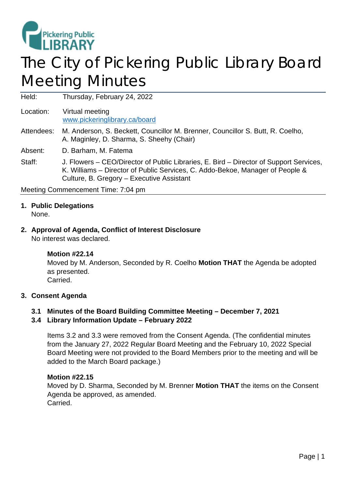

# The City of Pickering Public Library Board Meeting Minutes

Held: Thursday, February 24, 2022

Location: Virtual meeting [www.pickeringlibrary.ca/board](http://www.pickeringlibrary.ca/board)

Attendees: M. Anderson, S. Beckett, Councillor M. Brenner, Councillor S. Butt, R. Coelho, A. Maginley, D. Sharma, S. Sheehy (Chair)

Absent: D. Barham, M. Fatema

Staff: J. Flowers – CEO/Director of Public Libraries, E. Bird – Director of Support Services, K. Williams – Director of Public Services, C. Addo-Bekoe, Manager of People & Culture, B. Gregory – Executive Assistant

Meeting Commencement Time: 7:04 pm

# **1. Public Delegations**

None.

# **2. Approval of Agenda, Conflict of Interest Disclosure**

No interest was declared.

## **Motion #22.14**

Moved by M. Anderson, Seconded by R. Coelho **Motion THAT** the Agenda be adopted as presented. Carried.

#### **3. Consent Agenda**

## **3.1 Minutes of the Board Building Committee Meeting – December 7, 2021**

#### **3.4 Library Information Update – February 2022**

Items 3.2 and 3.3 were removed from the Consent Agenda. (The confidential minutes from the January 27, 2022 Regular Board Meeting and the February 10, 2022 Special Board Meeting were not provided to the Board Members prior to the meeting and will be added to the March Board package.)

#### **Motion #22.15**

Moved by D. Sharma, Seconded by M. Brenner **Motion THAT** the items on the Consent Agenda be approved, as amended. Carried.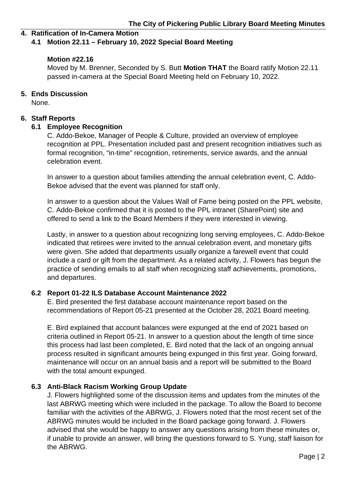## **4. Ratification of In-Camera Motion**

#### **4.1 Motion 22.11 – February 10, 2022 Special Board Meeting**

#### **Motion #22.16**

Moved by M. Brenner, Seconded by S. Butt **Motion THAT** the Board ratify Motion 22.11 passed in-camera at the Special Board Meeting held on February 10, 2022.

#### **5. Ends Discussion**

None.

#### **6. Staff Reports**

#### **6.1 Employee Recognition**

C. Addo-Bekoe, Manager of People & Culture, provided an overview of employee recognition at PPL. Presentation included past and present recognition initiatives such as formal recognition, "in-time" recognition, retirements, service awards, and the annual celebration event.

In answer to a question about families attending the annual celebration event, C. Addo-Bekoe advised that the event was planned for staff only.

In answer to a question about the Values Wall of Fame being posted on the PPL website, C. Addo-Bekoe confirmed that it is posted to the PPL intranet (SharePoint) site and offered to send a link to the Board Members if they were interested in viewing.

Lastly, in answer to a question about recognizing long serving employees, C. Addo-Bekoe indicated that retirees were invited to the annual celebration event, and monetary gifts were given. She added that departments usually organize a farewell event that could include a card or gift from the department. As a related activity, J. Flowers has begun the practice of sending emails to all staff when recognizing staff achievements, promotions, and departures.

#### **6.2 Report 01-22 ILS Database Account Maintenance 2022**

E. Bird presented the first database account maintenance report based on the recommendations of Report 05-21 presented at the October 28, 2021 Board meeting.

E. Bird explained that account balances were expunged at the end of 2021 based on criteria outlined in Report 05-21. In answer to a question about the length of time since this process had last been completed, E. Bird noted that the lack of an ongoing annual process resulted in significant amounts being expunged in this first year. Going forward, maintenance will occur on an annual basis and a report will be submitted to the Board with the total amount expunged.

## **6.3 Anti-Black Racism Working Group Update**

J. Flowers highlighted some of the discussion items and updates from the minutes of the last ABRWG meeting which were included in the package. To allow the Board to become familiar with the activities of the ABRWG, J. Flowers noted that the most recent set of the ABRWG minutes would be included in the Board package going forward. J. Flowers advised that she would be happy to answer any questions arising from these minutes or, if unable to provide an answer, will bring the questions forward to S. Yung, staff liaison for the ABRWG.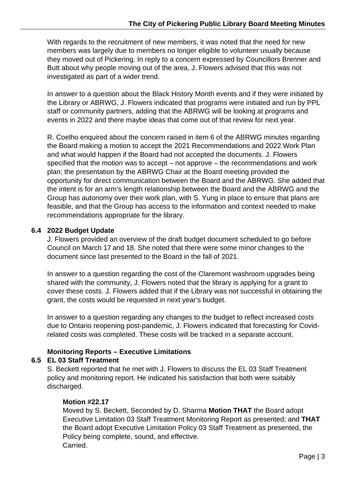With regards to the recruitment of new members, it was noted that the need for new members was largely due to members no longer eligible to volunteer usually because they moved out of Pickering. In reply to a concern expressed by Councillors Brenner and Butt about why people moving out of the area, J. Flowers advised that this was not investigated as part of a wider trend.

In answer to a question about the Black History Month events and if they were initiated by the Library or ABRWG, J. Flowers indicated that programs were initiated and run by PPL staff or community partners, adding that the ABRWG will be looking at programs and events in 2022 and there maybe ideas that come out of that review for next year.

R. Coelho enquired about the concern raised in item 6 of the ABRWG minutes regarding the Board making a motion to accept the 2021 Recommendations and 2022 Work Plan and what would happen if the Board had not accepted the documents. J. Flowers specified that the motion was to accept – not approve – the recommendations and work plan; the presentation by the ABRWG Chair at the Board meeting provided the opportunity for direct communication between the Board and the ABRWG. She added that the intent is for an arm's length relationship between the Board and the ABRWG and the Group has autonomy over their work plan, with S. Yung in place to ensure that plans are feasible, and that the Group has access to the information and context needed to make recommendations appropriate for the library.

## **6.4 2022 Budget Update**

J. Flowers provided an overview of the draft budget document scheduled to go before Council on March 17 and 18. She noted that there were some minor changes to the document since last presented to the Board in the fall of 2021.

In answer to a question regarding the cost of the Claremont washroom upgrades being shared with the community, J. Flowers noted that the library is applying for a grant to cover these costs. J. Flowers added that if the Library was not successful in obtaining the grant, the costs would be requested in next year's budget.

In answer to a question regarding any changes to the budget to reflect increased costs due to Ontario reopening post-pandemic, J. Flowers indicated that forecasting for Covidrelated costs was completed. These costs will be tracked in a separate account.

# **Monitoring Reports – Executive Limitations**

## **6.5 EL 03 Staff Treatment**

S. Beckett reported that he met with J. Flowers to discuss the EL 03 Staff Treatment policy and monitoring report. He indicated his satisfaction that both were suitably discharged.

## **Motion #22.17**

Moved by S. Beckett, Seconded by D. Sharma **Motion THAT** the Board adopt Executive Limitation 03 Staff Treatment Monitoring Report as presented; and **THAT** the Board adopt Executive Limitation Policy 03 Staff Treatment as presented, the Policy being complete, sound, and effective. Carried.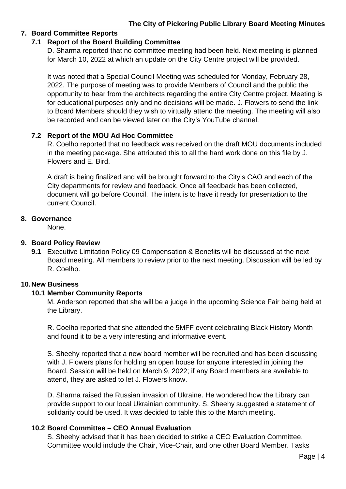## **7. Board Committee Reports**

#### **7.1 Report of the Board Building Committee**

D. Sharma reported that no committee meeting had been held. Next meeting is planned for March 10, 2022 at which an update on the City Centre project will be provided.

It was noted that a Special Council Meeting was scheduled for Monday, February 28, 2022. The purpose of meeting was to provide Members of Council and the public the opportunity to hear from the architects regarding the entire City Centre project. Meeting is for educational purposes only and no decisions will be made. J. Flowers to send the link to Board Members should they wish to virtually attend the meeting. The meeting will also be recorded and can be viewed later on the City's YouTube channel.

#### **7.2 Report of the MOU Ad Hoc Committee**

R. Coelho reported that no feedback was received on the draft MOU documents included in the meeting package. She attributed this to all the hard work done on this file by J. Flowers and E. Bird.

A draft is being finalized and will be brought forward to the City's CAO and each of the City departments for review and feedback. Once all feedback has been collected, document will go before Council. The intent is to have it ready for presentation to the current Council.

#### **8. Governance**

None.

#### **9. Board Policy Review**

**9.1** Executive Limitation Policy 09 Compensation & Benefits will be discussed at the next Board meeting. All members to review prior to the next meeting. Discussion will be led by R. Coelho.

## **10.New Business**

## **10.1 Member Community Reports**

M. Anderson reported that she will be a judge in the upcoming Science Fair being held at the Library.

R. Coelho reported that she attended the 5MFF event celebrating Black History Month and found it to be a very interesting and informative event.

S. Sheehy reported that a new board member will be recruited and has been discussing with J. Flowers plans for holding an open house for anyone interested in joining the Board. Session will be held on March 9, 2022; if any Board members are available to attend, they are asked to let J. Flowers know.

D. Sharma raised the Russian invasion of Ukraine. He wondered how the Library can provide support to our local Ukrainian community. S. Sheehy suggested a statement of solidarity could be used. It was decided to table this to the March meeting.

## **10.2 Board Committee – CEO Annual Evaluation**

S. Sheehy advised that it has been decided to strike a CEO Evaluation Committee. Committee would include the Chair, Vice-Chair, and one other Board Member. Tasks